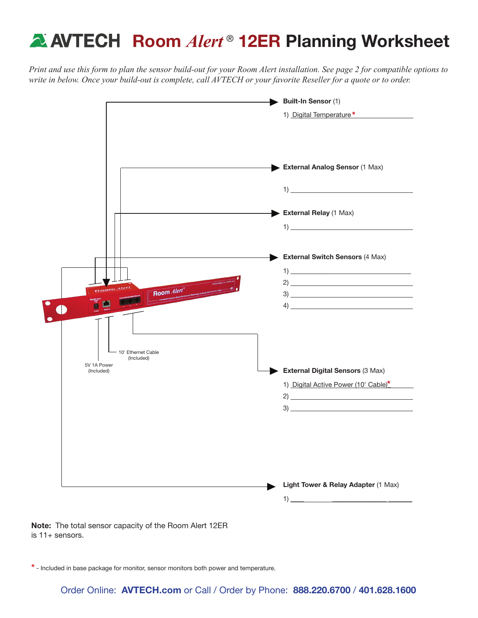# **A AVTECH Room Alert<sup>®</sup> 12ER Planning Worksheet**

*Print and use this form to plan the sensor build-out for your Room Alert installation. See page 2 for compatible options to write in below. Once your build-out is complete, call AVTECH or your favorite Reseller for a quote or to order.*



Note: The total sensor capacity of the Room Alert 12ER is 11+ sensors.

\* - Included in base package for monitor, sensor monitors both power and temperature.

Order Online: AVTECH.com or Call / Order by Phone: 888.220.6700 / 401.628.1600